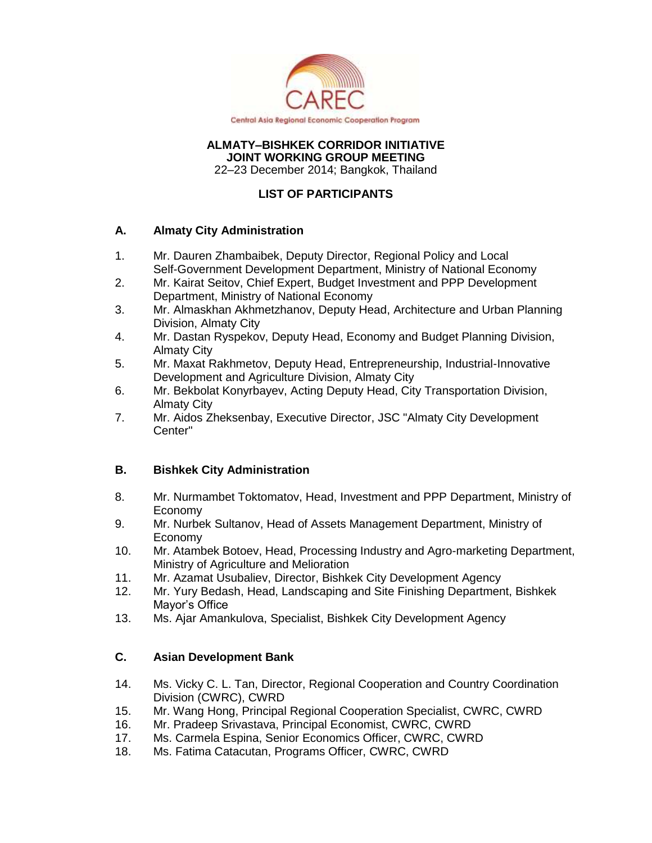

#### **ALMATY–BISHKEK CORRIDOR INITIATIVE JOINT WORKING GROUP MEETING**

22–23 December 2014; Bangkok, Thailand

# **LIST OF PARTICIPANTS**

### **A. Almaty City Administration**

- 1. Mr. Dauren Zhambaibek, Deputy Director, Regional Policy and Local Self-Government Development Department, Ministry of National Economy
- 2. Mr. Kairat Seitov, Chief Expert, Budget Investment and PPP Development Department, Ministry of National Economy
- 3. Mr. Almaskhan Akhmetzhanov, Deputy Head, Architecture and Urban Planning Division, Almaty City
- 4. Mr. Dastan Ryspekov, Deputy Head, Economy and Budget Planning Division, Almaty City
- 5. Mr. Maxat Rakhmetov, Deputy Head, Entrepreneurship, Industrial-Innovative Development and Agriculture Division, Almaty City
- 6. Mr. Bekbolat Konyrbayev, Acting Deputy Head, City Transportation Division, Almaty City
- 7. Mr. Aidos Zheksenbay, Executive Director, JSC "Almaty City Development Center"

# **B. Bishkek City Administration**

- 8. Mr. Nurmambet Toktomatov, Head, Investment and PPP Department, Ministry of Economy
- 9. Mr. Nurbek Sultanov, Head of Assets Management Department, Ministry of Economy
- 10. Mr. Atambek Botoev, Head, Processing Industry and Agro-marketing Department, Ministry of Agriculture and Melioration
- 11. Mr. Azamat Usubaliev, Director, Bishkek City Development Agency
- 12. Mr. Yury Bedash, Head, Landscaping and Site Finishing Department, Bishkek Mayor's Office
- 13. Ms. Ajar Amankulova, Specialist, Bishkek City Development Agency

# **C. Asian Development Bank**

- 14. Ms. Vicky C. L. Tan, Director, Regional Cooperation and Country Coordination Division (CWRC), CWRD
- 15. Mr. Wang Hong, Principal Regional Cooperation Specialist, CWRC, CWRD
- 16. Mr. Pradeep Srivastava, Principal Economist, CWRC, CWRD
- 17. Ms. Carmela Espina, Senior Economics Officer, CWRC, CWRD
- 18. Ms. Fatima Catacutan, Programs Officer, CWRC, CWRD